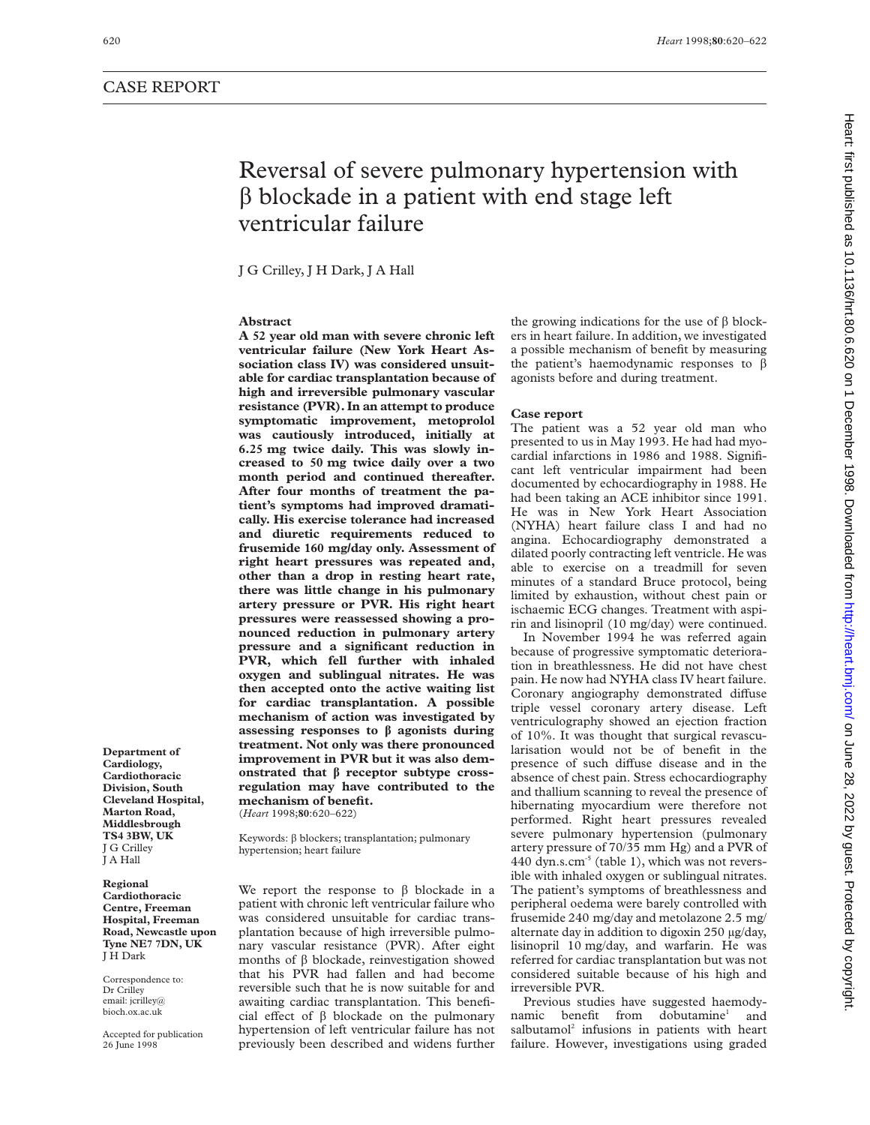# Reversal of severe pulmonary hypertension with  $\beta$  blockade in a patient with end stage left ventricular failure

J G Crilley, J H Dark, J A Hall

## **Abstract**

**A 52 year old man with severe chronic left ventricular failure (New York Heart Association class IV) was considered unsuitable for cardiac transplantation because of high and irreversible pulmonary vascular resistance (PVR). In an attempt to produce symptomatic improvement, metoprolol was cautiously introduced, initially at 6.25 mg twice daily. This was slowly increased to 50 mg twice daily over a two month period and continued thereafter. After four months of treatment the patient's symptoms had improved dramatically. His exercise tolerance had increased and diuretic requirements reduced to frusemide 160 mg/day only. Assessment of right heart pressures was repeated and, other than a drop in resting heart rate, there was little change in his pulmonary artery pressure or PVR. His right heart pressures were reassessed showing a pronounced reduction in pulmonary artery pressure and a significant reduction in PVR, which fell further with inhaled oxygen and sublingual nitrates. He was then accepted onto the active waiting list for cardiac transplantation. A possible mechanism of action was investigated by assessing responses to â agonists during treatment. Not only was there pronounced improvement in PVR but it was also demonstrated that â receptor subtype crossregulation may have contributed to the mechanism of benefit.**

(*Heart* 1998;**80**:620–622)

Keywords:  $\beta$  blockers; transplantation; pulmonary hypertension; heart failure

We report the response to  $\beta$  blockade in a patient with chronic left ventricular failure who was considered unsuitable for cardiac transplantation because of high irreversible pulmonary vascular resistance (PVR). After eight months of  $\beta$  blockade, reinvestigation showed that his PVR had fallen and had become reversible such that he is now suitable for and awaiting cardiac transplantation. This beneficial effect of  $\beta$  blockade on the pulmonary hypertension of left ventricular failure has not previously been described and widens further

the growing indications for the use of  $\beta$  blockers in heart failure. In addition, we investigated a possible mechanism of benefit by measuring the patient's haemodynamic responses to  $\beta$ agonists before and during treatment.

#### **Case report**

The patient was a 52 year old man who presented to us in May 1993. He had had myocardial infarctions in 1986 and 1988. Significant left ventricular impairment had been documented by echocardiography in 1988. He had been taking an ACE inhibitor since 1991. He was in New York Heart Association (NYHA) heart failure class I and had no angina. Echocardiography demonstrated a dilated poorly contracting left ventricle. He was able to exercise on a treadmill for seven minutes of a standard Bruce protocol, being limited by exhaustion, without chest pain or ischaemic ECG changes. Treatment with aspirin and lisinopril (10 mg/day) were continued.

In November 1994 he was referred again because of progressive symptomatic deterioration in breathlessness. He did not have chest pain. He now had NYHA class IV heart failure. Coronary angiography demonstrated diffuse triple vessel coronary artery disease. Left ventriculography showed an ejection fraction of 10%. It was thought that surgical revascularisation would not be of benefit in the presence of such diffuse disease and in the absence of chest pain. Stress echocardiography and thallium scanning to reveal the presence of hibernating myocardium were therefore not performed. Right heart pressures revealed severe pulmonary hypertension (pulmonary artery pressure of 70/35 mm Hg) and a PVR of 440 dyn.s.cm<sup>-5</sup> (table 1), which was not reversible with inhaled oxygen or sublingual nitrates. The patient's symptoms of breathlessness and peripheral oedema were barely controlled with frusemide 240 mg/day and metolazone 2.5 mg/ alternate day in addition to digoxin 250 µg/day, lisinopril 10 mg/day, and warfarin. He was referred for cardiac transplantation but was not considered suitable because of his high and irreversible PVR.

Previous studies have suggested haemodynamic benefit from dobutamine<sup>1</sup> and salbutamol $2$  infusions in patients with heart failure. However, investigations using graded

**Department of Cardiology, Cardiothoracic Division, South Cleveland Hospital, Marton Road, Middlesbrough TS4 3BW, UK** J G Crilley J A Hall

**Regional Cardiothoracic Centre, Freeman Hospital, Freeman Road, Newcastle upon Tyne NE7 7DN, UK** J H Dark

Correspondence to: Dr Crilley email: jcrilley@ bioch.ox.ac.uk

Accepted for publication 26 June 1998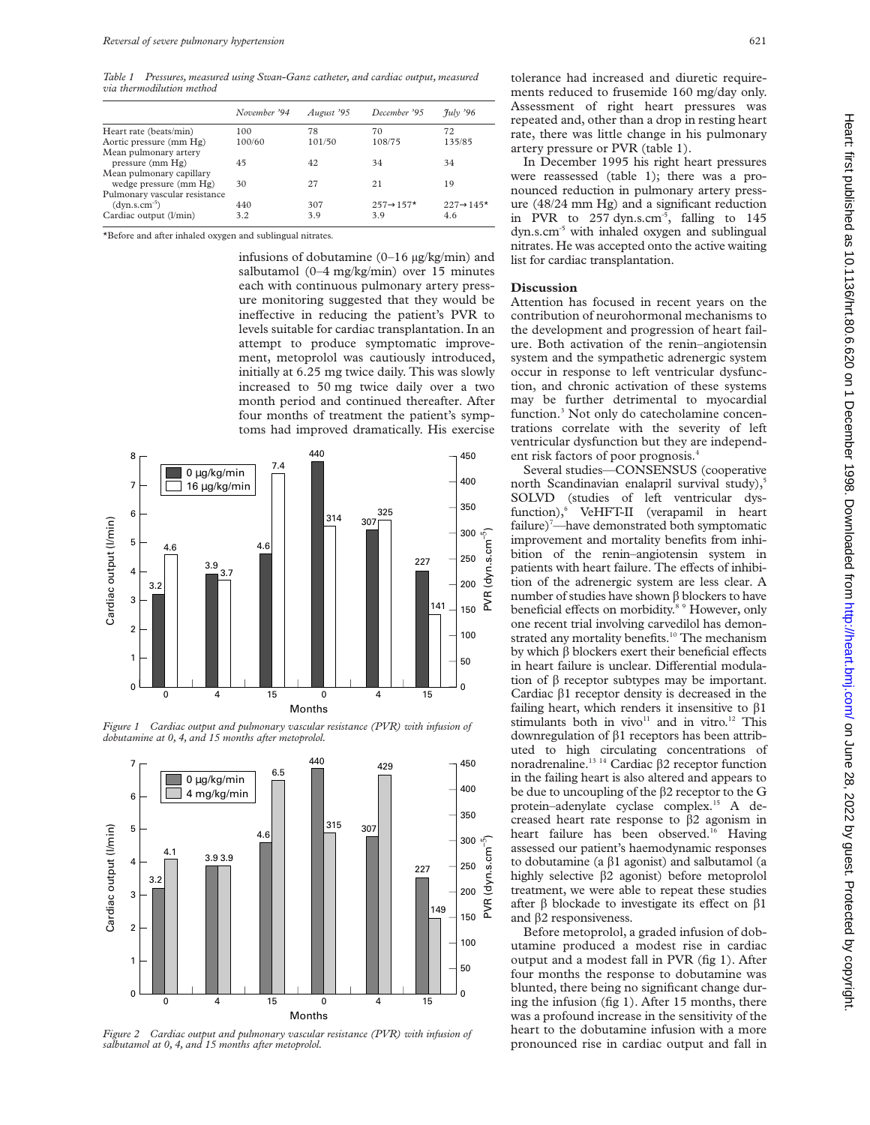*Table 1 Pressures, measured using Swan-Ganz catheter, and cardiac output, measured via thermodilution method*

| November '94 | August '95 | December '95           | $\frac{\gamma_{\text{uly}}}{\gamma_{\text{0}}}$ |
|--------------|------------|------------------------|-------------------------------------------------|
| 100          | 78         | 70                     | 72                                              |
| 100/60       | 101/50     | 108/75                 | 135/85                                          |
|              |            |                        |                                                 |
| 45           | 42         | 34                     | 34                                              |
|              |            |                        |                                                 |
| 30           | 27         | 21                     | 19                                              |
|              |            |                        |                                                 |
| 440          | 307        | $257 \rightarrow 157*$ | $227 \rightarrow 145*$                          |
| 3.2          | 3.9        | 39                     | 4.6                                             |
|              |            |                        |                                                 |

\*Before and after inhaled oxygen and sublingual nitrates.

infusions of dobutamine (0–16 µg/kg/min) and salbutamol (0–4 mg/kg/min) over 15 minutes each with continuous pulmonary artery pressure monitoring suggested that they would be ineffective in reducing the patient's PVR to levels suitable for cardiac transplantation. In an attempt to produce symptomatic improvement, metoprolol was cautiously introduced, initially at 6.25 mg twice daily. This was slowly increased to 50 mg twice daily over a two month period and continued thereafter. After four months of treatment the patient's symptoms had improved dramatically. His exercise



*Figure 1 Cardiac output and pulmonary vascular resistance (PVR) with infusion of dobutamine at 0, 4, and 15 months after metoprolol.*



*Figure 2 Cardiac output and pulmonary vascular resistance (PVR) with infusion of salbutamol at 0, 4, and 15 months after metoprolol.*

tolerance had increased and diuretic requirements reduced to frusemide 160 mg/day only. Assessment of right heart pressures was repeated and, other than a drop in resting heart rate, there was little change in his pulmonary artery pressure or PVR (table 1).

In December 1995 his right heart pressures were reassessed (table 1); there was a pronounced reduction in pulmonary artery pressure (48/24 mm Hg) and a significant reduction in PVR to 257 dyn.s.cm<sup>-5</sup>, falling to 145 dyn.s.cm-5 with inhaled oxygen and sublingual nitrates. He was accepted onto the active waiting list for cardiac transplantation.

### **Discussion**

Attention has focused in recent years on the contribution of neurohormonal mechanisms to the development and progression of heart failure. Both activation of the renin–angiotensin system and the sympathetic adrenergic system occur in response to left ventricular dysfunction, and chronic activation of these systems may be further detrimental to myocardial function.<sup>3</sup> Not only do catecholamine concentrations correlate with the severity of left ventricular dysfunction but they are independent risk factors of poor prognosis.<sup>4</sup>

Several studies—CONSENSUS (cooperative north Scandinavian enalapril survival study),<sup>5</sup> SOLVD (studies of left ventricular dysfunction),<sup>6</sup> VeHFT-II (verapamil in heart failure)<sup>7</sup>—have demonstrated both symptomatic improvement and mortality benefits from inhibition of the renin–angiotensin system in patients with heart failure. The effects of inhibition of the adrenergic system are less clear. A number of studies have shown  $\beta$  blockers to have beneficial effects on morbidity.<sup>8 9</sup> However, only one recent trial involving carvedilol has demonstrated any mortality benefits.<sup>10</sup> The mechanism by which  $\beta$  blockers exert their beneficial effects in heart failure is unclear. Differential modulation of  $\beta$  receptor subtypes may be important. Cardiac  $\beta$ 1 receptor density is decreased in the failing heart, which renders it insensitive to  $\beta$ 1 stimulants both in vivo<sup>11</sup> and in vitro.<sup>12</sup> This downregulation of â1 receptors has been attributed to high circulating concentrations of noradrenaline.<sup>13</sup> <sup>14</sup> Cardiac  $\beta$ 2 receptor function in the failing heart is also altered and appears to be due to uncoupling of the â2 receptor to the G protein–adenylate cyclase complex.15 A decreased heart rate response to  $\beta$ 2 agonism in heart failure has been observed.<sup>16</sup> Having assessed our patient's haemodynamic responses to dobutamine (a  $\beta$ 1 agonist) and salbutamol (a highly selective  $\beta$ 2 agonist) before metoprolol treatment, we were able to repeat these studies after  $\beta$  blockade to investigate its effect on  $\beta$ 1 and  $\beta$ 2 responsiveness.

Before metoprolol, a graded infusion of dobutamine produced a modest rise in cardiac output and a modest fall in PVR (fig 1). After four months the response to dobutamine was blunted, there being no significant change during the infusion (fig 1). After 15 months, there was a profound increase in the sensitivity of the heart to the dobutamine infusion with a more pronounced rise in cardiac output and fall in